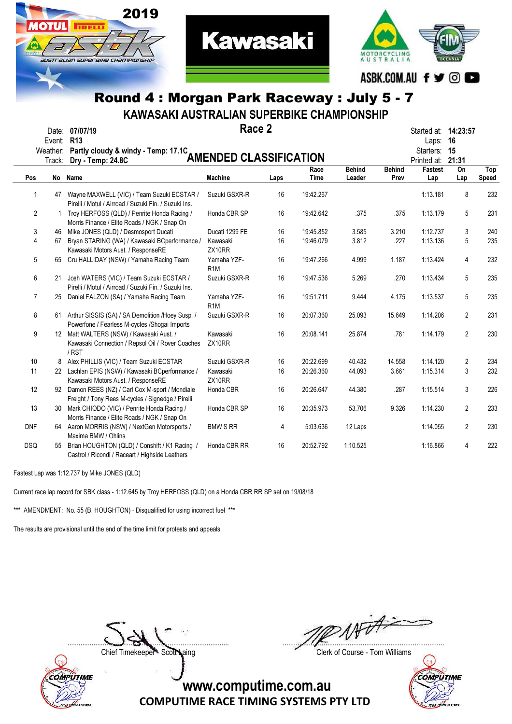

KAWASAKI AUSTRALIAN SUPERBIKE CHAMPIONSHIP

|                 | Event: R13 | Date: 07/07/19<br>Weather: Partly cloudy & windy - Temp: 17.1C                                         | Race 2                          |      |           |               |               | Started at: <b>14:23:57</b><br>Laps:<br>Starters: | 16<br>15       |       |
|-----------------|------------|--------------------------------------------------------------------------------------------------------|---------------------------------|------|-----------|---------------|---------------|---------------------------------------------------|----------------|-------|
|                 | Track:     | Dry - Temp: 24.8C                                                                                      | <b>AMENDED CLASSIFICATION</b>   |      |           |               |               | Printed at:                                       | 21:31          |       |
|                 |            |                                                                                                        |                                 |      | Race      | <b>Behind</b> | <b>Behind</b> | Fastest                                           | On             | Top   |
| Pos             | No         | Name                                                                                                   | <b>Machine</b>                  | Laps | Time      | Leader        | Prev          | Lap                                               | Lap            | Speed |
| 1               | 47         | Wayne MAXWELL (VIC) / Team Suzuki ECSTAR /<br>Pirelli / Motul / Airroad / Suzuki Fin. / Suzuki Ins.    | Suzuki GSXR-R                   | 16   | 19:42.267 |               |               | 1:13.181                                          | 8              | 232   |
| $\overline{2}$  |            | 1 Troy HERFOSS (QLD) / Penrite Honda Racing /<br>Morris Finance / Elite Roads / NGK / Snap On          | Honda CBR SP                    | 16   | 19:42.642 | .375          | .375          | 1:13.179                                          | 5              | 231   |
| 3               | 46         | Mike JONES (QLD) / Desmosport Ducati                                                                   | Ducati 1299 FE                  | 16   | 19:45.852 | 3.585         | 3.210         | 1:12.737                                          | 3              | 240   |
| 4               | 67         | Bryan STARING (WA) / Kawasaki BCperformance /<br>Kawasaki Motors Aust. / ResponseRE                    | Kawasaki<br>ZX10RR              | 16   | 19:46.079 | 3.812         | .227          | 1:13.136                                          | 5              | 235   |
| 5               | 65         | Cru HALLIDAY (NSW) / Yamaha Racing Team                                                                | Yamaha YZF-<br>R <sub>1</sub> M | 16   | 19:47.266 | 4.999         | 1.187         | 1:13.424                                          | 4              | 232   |
| 6               | 21         | Josh WATERS (VIC) / Team Suzuki ECSTAR /<br>Pirelli / Motul / Airroad / Suzuki Fin. / Suzuki Ins.      | Suzuki GSXR-R                   | 16   | 19:47.536 | 5.269         | .270          | 1:13.434                                          | 5              | 235   |
| $\overline{7}$  | 25         | Daniel FALZON (SA) / Yamaha Racing Team                                                                | Yamaha YZF-<br>R <sub>1</sub> M | 16   | 19:51.711 | 9.444         | 4.175         | 1:13.537                                          | 5              | 235   |
| 8               |            | 61 Arthur SISSIS (SA) / SA Demolition / Hoey Susp. /<br>Powerfone / Fearless M-cycles / Shogai Imports | Suzuki GSXR-R                   | 16   | 20:07.360 | 25.093        | 15.649        | 1:14.206                                          | $\overline{2}$ | 231   |
| 9               |            | 12 Matt WALTERS (NSW) / Kawasaki Aust. /<br>Kawasaki Connection / Repsol Oil / Rover Coaches<br>/RST   | Kawasaki<br>ZX10RR              | 16   | 20:08.141 | 25.874        | .781          | 1:14.179                                          | $\overline{2}$ | 230   |
| 10 <sup>°</sup> |            | 8 Alex PHILLIS (VIC) / Team Suzuki ECSTAR                                                              | Suzuki GSXR-R                   | 16   | 20:22.699 | 40.432        | 14.558        | 1:14.120                                          | 2              | 234   |
| 11              |            | 22 Lachlan EPIS (NSW) / Kawasaki BCperformance /<br>Kawasaki Motors Aust. / ResponseRE                 | Kawasaki<br>ZX10RR              | 16   | 20:26.360 | 44.093        | 3.661         | 1:15.314                                          | 3              | 232   |
| 12              |            | 92 Damon REES (NZ) / Carl Cox M-sport / Mondiale<br>Freight / Tony Rees M-cycles / Signedge / Pirelli  | Honda CBR                       | 16   | 20:26.647 | 44.380        | .287          | 1:15.514                                          | 3              | 226   |
| 13              |            | 30 Mark CHIODO (VIC) / Penrite Honda Racing /<br>Morris Finance / Elite Roads / NGK / Snap On          | Honda CBR SP                    | 16   | 20:35.973 | 53.706        | 9.326         | 1:14.230                                          | $\overline{2}$ | 233   |
| <b>DNF</b>      |            | 64 Aaron MORRIS (NSW) / NextGen Motorsports /<br>Maxima BMW / Ohlins                                   | <b>BMW S RR</b>                 | 4    | 5:03.636  | 12 Laps       |               | 1:14.055                                          | 2              | 230   |
| <b>DSQ</b>      | 55         | Brian HOUGHTON (QLD) / Conshift / K1 Racing /<br>Castrol / Ricondi / Raceart / Highside Leathers       | Honda CBR RR                    | 16   | 20:52.792 | 1:10.525      |               | 1:16.866                                          | 4              | 222   |

Fastest Lap was 1:12.737 by Mike JONES (QLD)

Current race lap record for SBK class - 1:12.645 by Troy HERFOSS (QLD) on a Honda CBR RR SP set on 19/08/18

\*\*\* AMENDMENT: No. 55 (B. HOUGHTON) - Disqualified for using incorrect fuel \*\*\*

The results are provisional until the end of the time limit for protests and appeals.



....................................................................................... .......................................................................................

Chief Timekeeper - Scott Laing Clerk of Course - Tom Williams

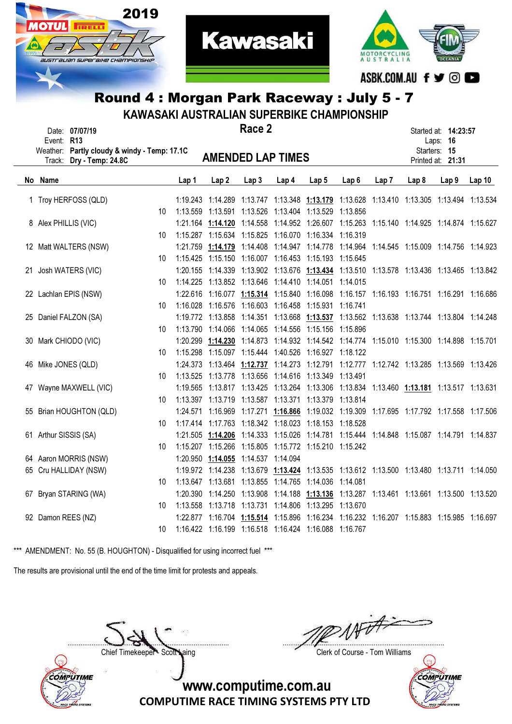



**Kawasaki** 

| Rouna 4 : morgan Park Raceway : July 5 - 7<br>KAWASAKI AUSTRALIAN SUPERBIKE CHAMPIONSHIP |                                                                |                 |                                                            |                  |                                                                                           |       |       |                  |                  |                  |                                                  |       |  |
|------------------------------------------------------------------------------------------|----------------------------------------------------------------|-----------------|------------------------------------------------------------|------------------|-------------------------------------------------------------------------------------------|-------|-------|------------------|------------------|------------------|--------------------------------------------------|-------|--|
| Event: R13                                                                               | Date: 07/07/19<br>Weather: Partly cloudy & windy - Temp: 17.1C |                 |                                                            |                  | Race 2                                                                                    |       |       |                  |                  |                  | Started at: 14:23:57<br>Laps: 16<br>Starters: 15 |       |  |
|                                                                                          | Track: Dry - Temp: 24.8C                                       |                 |                                                            |                  | <b>AMENDED LAP TIMES</b>                                                                  |       |       |                  |                  |                  | Printed at: 21:31                                |       |  |
| No Name                                                                                  |                                                                |                 | Lap 1                                                      | Lap <sub>2</sub> | Lap <sub>3</sub>                                                                          | Lap 4 | Lap 5 | Lap <sub>6</sub> | Lap <sub>7</sub> | Lap <sub>8</sub> | Lap <sub>9</sub>                                 | Lap10 |  |
|                                                                                          | 1 Troy HERFOSS (QLD)                                           |                 |                                                            |                  | 1:19.243 1:14.289 1:13.747 1:13.348 1:13.179 1:13.628 1:13.410 1:13.305 1:13.494 1:13.534 |       |       |                  |                  |                  |                                                  |       |  |
|                                                                                          |                                                                | 10 <sup>1</sup> | 1:13.559  1:13.591  1:13.526  1:13.404  1:13.529  1:13.856 |                  |                                                                                           |       |       |                  |                  |                  |                                                  |       |  |
| 8 Alex PHILLIS (VIC)                                                                     |                                                                |                 |                                                            |                  | 1:21.164 1:14.120 1:14.558 1:14.952 1:26.607 1:15.263 1:15.140 1:14.925 1:14.874 1:15.627 |       |       |                  |                  |                  |                                                  |       |  |
|                                                                                          |                                                                | 10              |                                                            |                  | 1:15.287  1:15.634  1:15.825  1:16.070  1:16.334  1:16.319                                |       |       |                  |                  |                  |                                                  |       |  |
|                                                                                          | 12 Matt WALTERS (NSW)                                          |                 |                                                            |                  | 1:21.759 1:14.179 1:14.408 1:14.947 1:14.778 1:14.964 1:14.545 1:15.009 1:14.756 1:14.923 |       |       |                  |                  |                  |                                                  |       |  |
|                                                                                          |                                                                | 10              |                                                            |                  | 1:15.425  1:15.150  1:16.007  1:16.453  1:15.193  1:15.645                                |       |       |                  |                  |                  |                                                  |       |  |
|                                                                                          | 21 Josh WATERS (VIC)                                           |                 |                                                            |                  | 1:20.155 1:14.339 1:13.902 1:13.676 1:13.434 1:13.510 1:13.578 1:13.436 1:13.465 1:13.842 |       |       |                  |                  |                  |                                                  |       |  |
|                                                                                          |                                                                | 10              |                                                            |                  | 1:14.225 1:13.852 1:13.646 1:14.410 1:14.051 1:14.015                                     |       |       |                  |                  |                  |                                                  |       |  |
|                                                                                          | 22 Lachlan EPIS (NSW)                                          |                 |                                                            |                  | 1:22.616 1:16.077 1:15.314 1:15.840 1:16.098 1:16.157 1:16.193 1:16.751 1:16.291 1:16.686 |       |       |                  |                  |                  |                                                  |       |  |
|                                                                                          |                                                                | 10 <sup>°</sup> |                                                            |                  | 1:16.028 1:16.576 1:16.603 1:16.458 1:15.931 1:16.741                                     |       |       |                  |                  |                  |                                                  |       |  |
|                                                                                          | 25 Daniel FALZON (SA)                                          |                 |                                                            |                  | 1:19.772 1:13.858 1:14.351 1:13.668 1:13.537 1:13.562 1:13.638 1:13.744 1:13.804 1:14.248 |       |       |                  |                  |                  |                                                  |       |  |
|                                                                                          |                                                                | 10              |                                                            |                  | 1:13.790  1:14.066  1:14.065  1:14.556  1:15.156  1:15.896                                |       |       |                  |                  |                  |                                                  |       |  |
|                                                                                          | 30 Mark CHIODO (VIC)                                           |                 |                                                            |                  | 1:20.299 1:14.230 1:14.873 1:14.932 1:14.542 1:14.774 1:15.010 1:15.300 1:14.898 1:15.701 |       |       |                  |                  |                  |                                                  |       |  |
|                                                                                          |                                                                | 10              |                                                            |                  | 1:15.298  1:15.097  1:15.444  1:40.526  1:16.927  1:18.122                                |       |       |                  |                  |                  |                                                  |       |  |
| 46 Mike JONES (QLD)                                                                      |                                                                |                 |                                                            |                  | 1:24.373 1:13.464 1:12.737 1:14.273 1:12.791 1:12.777 1:12.742 1:13.285 1:13.569 1:13.426 |       |       |                  |                  |                  |                                                  |       |  |
|                                                                                          |                                                                | 10              |                                                            |                  | 1:13.525  1:13.778  1:13.656  1:14.616  1:13.349  1:13.491                                |       |       |                  |                  |                  |                                                  |       |  |
|                                                                                          | 47 Wayne MAXWELL (VIC)                                         |                 |                                                            |                  | 1:19.565 1:13.817 1:13.425 1:13.264 1:13.306 1:13.834 1:13.460 1:13.181 1:13.517 1:13.631 |       |       |                  |                  |                  |                                                  |       |  |
|                                                                                          |                                                                | 10              |                                                            |                  | 1:13.397  1:13.719  1:13.587  1:13.371  1:13.379  1:13.814                                |       |       |                  |                  |                  |                                                  |       |  |
|                                                                                          | 55 Brian HOUGHTON (QLD)                                        |                 |                                                            |                  | 1:24.571 1:16.969 1:17.271 1:16.866 1:19.032 1:19.309 1:17.695 1:17.792 1:17.558 1:17.506 |       |       |                  |                  |                  |                                                  |       |  |
|                                                                                          |                                                                | 10              |                                                            |                  | 1:17.414 1:17.763 1:18.342 1:18.023 1:18.153 1:18.528                                     |       |       |                  |                  |                  |                                                  |       |  |
| 61 Arthur SISSIS (SA)                                                                    |                                                                |                 |                                                            |                  | 1:21.505 1:14.206 1:14.333 1:15.026 1:14.781 1:15.444 1:14.848 1:15.087 1:14.791 1:14.837 |       |       |                  |                  |                  |                                                  |       |  |
|                                                                                          |                                                                | 10              |                                                            |                  | 1:15.207 1:15.266 1:15.805 1:15.772 1:15.210 1:15.242                                     |       |       |                  |                  |                  |                                                  |       |  |
|                                                                                          | 64 Aaron MORRIS (NSW)                                          |                 |                                                            |                  | 1:20.950 1:14.055 1:14.537 1:14.094                                                       |       |       |                  |                  |                  |                                                  |       |  |
|                                                                                          | 65 Cru HALLIDAY (NSW)                                          |                 |                                                            |                  | 1:19.972 1:14.238 1:13.679 1:13.424 1:13.535 1:13.612 1:13.500 1:13.480 1:13.711 1:14.050 |       |       |                  |                  |                  |                                                  |       |  |
|                                                                                          |                                                                | 10              |                                                            |                  | 1:13.647 1:13.681 1:13.855 1:14.765 1:14.036 1:14.081                                     |       |       |                  |                  |                  |                                                  |       |  |
|                                                                                          | 67 Bryan STARING (WA)                                          |                 |                                                            |                  | 1:20.390 1:14.250 1:13.908 1:14.188 1:13.136 1:13.287 1:13.461 1:13.661 1:13.500 1:13.520 |       |       |                  |                  |                  |                                                  |       |  |
|                                                                                          |                                                                | 10              |                                                            |                  | 1:13.558  1:13.718  1:13.731  1:14.806  1:13.295  1:13.670                                |       |       |                  |                  |                  |                                                  |       |  |
| 92 Damon REES (NZ)                                                                       |                                                                |                 |                                                            |                  | 1:22.877 1:16.704 1:15.514 1:15.896 1:16.234 1:16.232 1:16.207 1:15.883 1:15.985 1:16.697 |       |       |                  |                  |                  |                                                  |       |  |

10 1:16.422 1:16.199 1:16.518 1:16.424 1:16.088 1:16.767

\*\*\* AMENDMENT: No. 55 (B. HOUGHTON) - Disqualified for using incorrect fuel \*\*\*

The results are provisional until the end of the time limit for protests and appeals.



....................................................................................... .......................................................................................

Chief Timekeeper - Scott Laing Chief Timekeeper - Scott Laing

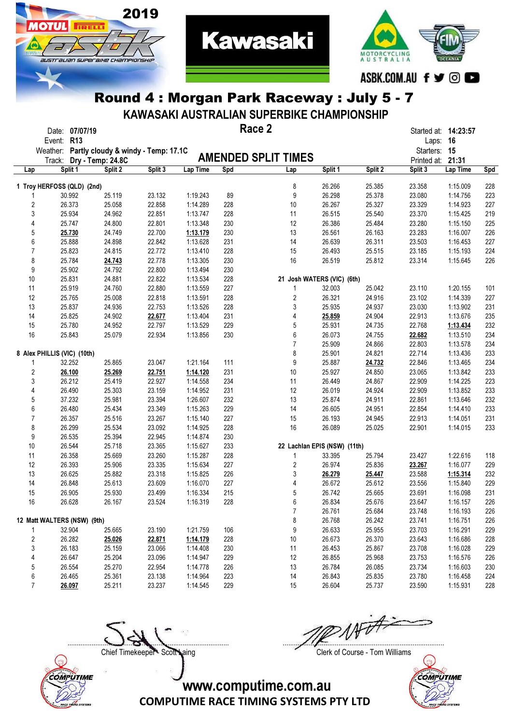

2019

**OTUL** 

**TRELL** 

australian superaike championskir

KAWASAKI AUSTRALIAN SUPERBIKE CHAMPIONSHIP

**Kawasaki** 

|                | Date: 07/07/19<br>Event: R13                 |         |         |          |     | Race 2                       |         |                  | Started at: 14:23:57<br>Laps: 16 |          |            |
|----------------|----------------------------------------------|---------|---------|----------|-----|------------------------------|---------|------------------|----------------------------------|----------|------------|
|                | Weather: Partly cloudy & windy - Temp: 17.1C |         |         |          |     |                              |         |                  | Starters: 15                     |          |            |
|                | Track: Dry - Temp: 24.8C                     |         |         |          |     | <b>AMENDED SPLIT TIMES</b>   |         |                  | Printed at: 21:31                |          |            |
| Lap            | Split 1                                      | Split 2 | Split 3 | Lap Time | Spd | Lap                          | Split 1 | Split 2          | Split 3                          | Lap Time | Spd        |
|                | 1 Troy HERFOSS (QLD) (2nd)                   |         |         |          |     | 8                            | 26.266  | 25.385           | 23.358                           | 1:15.009 | 228        |
|                | 30.992                                       | 25.119  | 23.132  | 1:19.243 | 89  | 9                            | 26.298  | 25.378           | 23.080                           | 1:14.756 | 223        |
| $\overline{c}$ | 26.373                                       | 25.058  | 22.858  | 1:14.289 | 228 | 10                           | 26.267  | 25.327           | 23.329                           | 1:14.923 | 227        |
| 3              | 25.934                                       | 24.962  | 22.851  | 1:13.747 | 228 | 11                           | 26.515  | 25.540           | 23.370                           | 1:15.425 | 219        |
| 4              | 25.747                                       | 24.800  | 22.801  | 1:13.348 | 230 | 12                           | 26.386  | 25.484           | 23.280                           | 1:15.150 | 225        |
| 5              | 25.730                                       | 24.749  | 22.700  | 1:13.179 | 230 | 13                           | 26.561  | 26.163           | 23.283                           | 1:16.007 | 226        |
| 6              | 25.888                                       | 24.898  | 22.842  | 1:13.628 | 231 | 14                           | 26.639  | 26.311           | 23.503                           | 1:16.453 | 227        |
| $\overline{7}$ | 25.823                                       | 24.815  | 22.772  | 1:13.410 | 228 | 15                           | 26.493  | 25.515           | 23.185                           | 1:15.193 | 224        |
| 8              | 25.784                                       | 24.743  | 22.778  | 1:13.305 | 230 | 16                           | 26.519  | 25.812           | 23.314                           | 1:15.645 | 226        |
| 9              | 25.902                                       | 24.792  | 22.800  | 1:13.494 | 230 |                              |         |                  |                                  |          |            |
| 10             | 25.831                                       | 24.881  | 22.822  | 1:13.534 | 228 | 21 Josh WATERS (VIC) (6th)   |         |                  |                                  |          |            |
| 11             | 25.919                                       | 24.760  | 22.880  | 1:13.559 | 227 | 1                            | 32.003  | 25.042           | 23.110                           | 1:20.155 | 101        |
| 12             | 25.765                                       | 25.008  | 22.818  | 1:13.591 | 228 | 2                            | 26.321  | 24.916           | 23.102                           | 1:14.339 | 227        |
| 13             | 25.837                                       | 24.936  | 22.753  | 1:13.526 | 228 | 3                            | 25.935  | 24.937           | 23.030                           | 1:13.902 | 231        |
| 14             | 25.825                                       | 24.902  | 22.677  | 1:13.404 | 231 | 4                            | 25.859  | 24.904           | 22.913                           | 1:13.676 | 235        |
| 15             | 25.780                                       | 24.952  | 22.797  | 1:13.529 | 229 | 5                            | 25.931  | 24.735           | 22.768                           | 1:13.434 | 232        |
| 16             | 25.843                                       | 25.079  | 22.934  | 1:13.856 | 230 | 6                            | 26.073  | 24.755           | 22.682                           | 1:13.510 | 234        |
|                |                                              |         |         |          |     | 7                            |         |                  |                                  |          |            |
|                |                                              |         |         |          |     |                              | 25.909  | 24.866<br>24.821 | 22.803<br>22.714                 | 1:13.578 | 234<br>233 |
|                | 8 Alex PHILLIS (VIC) (10th)                  |         |         |          |     | 8                            | 25.901  |                  |                                  | 1:13.436 |            |
| 1              | 32.252                                       | 25.865  | 23.047  | 1:21.164 | 111 | 9                            | 25.887  | 24.732           | 22.846                           | 1:13.465 | 234        |
| $\overline{2}$ | 26.100                                       | 25.269  | 22.751  | 1:14.120 | 231 | 10                           | 25.927  | 24.850           | 23.065                           | 1:13.842 | 233        |
| 3              | 26.212                                       | 25.419  | 22.927  | 1:14.558 | 234 | 11                           | 26.449  | 24.867           | 22.909                           | 1:14.225 | 223        |
| 4              | 26.490                                       | 25.303  | 23.159  | 1:14.952 | 231 | 12                           | 26.019  | 24.924           | 22.909                           | 1:13.852 | 233        |
| 5              | 37.232                                       | 25.981  | 23.394  | 1:26.607 | 232 | 13                           | 25.874  | 24.911           | 22.861                           | 1:13.646 | 232        |
| 6              | 26.480                                       | 25.434  | 23.349  | 1:15.263 | 229 | 14                           | 26.605  | 24.951           | 22.854                           | 1:14.410 | 233        |
| $\overline{7}$ | 26.357                                       | 25.516  | 23.267  | 1:15.140 | 227 | 15                           | 26.193  | 24.945           | 22.913                           | 1:14.051 | 231        |
| 8              | 26.299                                       | 25.534  | 23.092  | 1:14.925 | 228 | 16                           | 26.089  | 25.025           | 22.901                           | 1:14.015 | 233        |
| 9              | 26.535                                       | 25.394  | 22.945  | 1:14.874 | 230 |                              |         |                  |                                  |          |            |
| 10             | 26.544                                       | 25.718  | 23.365  | 1:15.627 | 233 | 22 Lachlan EPIS (NSW) (11th) |         |                  |                                  |          |            |
| 11             | 26.358                                       | 25.669  | 23.260  | 1:15.287 | 228 | 1                            | 33.395  | 25.794           | 23.427                           | 1:22.616 | 118        |
| 12             | 26.393                                       | 25.906  | 23.335  | 1:15.634 | 227 | 2                            | 26.974  | 25.836           | 23.267                           | 1:16.077 | 229        |
| 13             | 26.625                                       | 25.882  | 23.318  | 1:15.825 | 226 | 3                            | 26.279  | 25.447           | 23.588                           | 1:15.314 | 232        |
| 14             | 26.848                                       | 25.613  | 23.609  | 1:16.070 | 227 | 4                            | 26.672  | 25.612           | 23.556                           | 1:15.840 | 229        |
| 15             | 26.905                                       | 25.930  | 23.499  | 1:16.334 | 215 | 5                            | 26.742  | 25.665           | 23.691                           | 1:16.098 | 231        |
| 16             | 26.628                                       | 26.167  | 23.524  | 1:16.319 | 228 | 6                            | 26.834  | 25.676           | 23.647                           | 1:16.157 | 226        |
|                |                                              |         |         |          |     | 7                            | 26.761  | 25.684           | 23.748                           | 1:16.193 | 226        |
|                | 12 Matt WALTERS (NSW) (9th)                  |         |         |          |     | 8                            | 26.768  | 26.242           | 23.741                           | 1:16.751 | 226        |
| 1              | 32.904                                       | 25.665  | 23.190  | 1:21.759 | 106 | 9                            | 26.633  | 25.955           | 23.703                           | 1:16.291 | 229        |
| $\overline{c}$ | 26.282                                       | 25.026  | 22.871  | 1:14.179 | 228 | 10                           | 26.673  | 26.370           | 23.643                           | 1:16.686 | 228        |
| 3              | 26.183                                       | 25.159  | 23.066  | 1:14.408 | 230 | 11                           | 26.453  | 25.867           | 23.708                           | 1:16.028 | 229        |
| 4              | 26.647                                       | 25.204  | 23.096  | 1:14.947 | 229 | 12                           | 26.855  | 25.968           | 23.753                           | 1:16.576 | 226        |
| 5              | 26.554                                       | 25.270  | 22.954  | 1:14.778 | 226 | 13                           | 26.784  | 26.085           | 23.734                           | 1:16.603 | 230        |
| 6              | 26.465                                       | 25.361  | 23.138  | 1:14.964 | 223 | 14                           | 26.843  | 25.835           | 23.780                           | 1:16.458 | 224        |
| $\overline{7}$ | 26.097                                       | 25.211  | 23.237  | 1:14.545 | 229 | 15                           | 26.604  | 25.737           | 23.590                           | 1:15.931 | 228        |



....................................................................................... .......................................................................................

Chief Timekeeper - Scott Laing Clerk of Course - Tom Williams

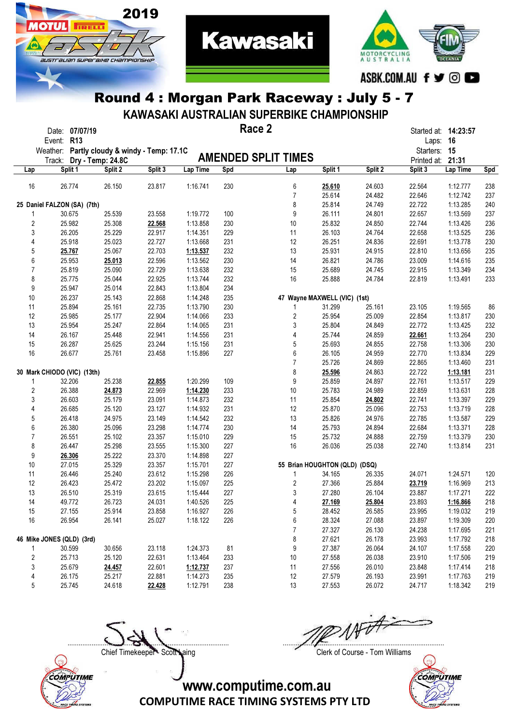

MOTORCYCLING<br>AUSTRALIA ASBK.COM.AU f y © C

#### Round 4 : Morgan Park Raceway : July 5 - 7

2019

**OTIJL** 

**TRELL** 

australian superaike championskir

KAWASAKI AUSTRALIAN SUPERBIKE CHAMPIONSHIP

|                         | Date: 07/07/19                                                           |         |         |          |     | Race 2                        |         |         | Started at: 14:23:57              |          |     |
|-------------------------|--------------------------------------------------------------------------|---------|---------|----------|-----|-------------------------------|---------|---------|-----------------------------------|----------|-----|
|                         | Event: R13                                                               |         |         |          |     |                               |         |         | Laps: 16                          |          |     |
|                         | Weather: Partly cloudy & windy - Temp: 17.1C<br>Track: Dry - Temp: 24.8C |         |         |          |     | <b>AMENDED SPLIT TIMES</b>    |         |         | Starters: 15<br>Printed at: 21:31 |          |     |
| Lap                     | Split 1                                                                  | Split 2 | Split 3 | Lap Time | Spd | Lap                           | Split 1 | Split 2 | Split 3                           | Lap Time | Spd |
|                         |                                                                          |         |         |          |     |                               |         |         |                                   |          |     |
| 16                      | 26.774                                                                   | 26.150  | 23.817  | 1:16.741 | 230 | 6                             | 25.610  | 24.603  | 22.564                            | 1:12.777 | 238 |
|                         |                                                                          |         |         |          |     | $\overline{7}$                | 25.614  | 24.482  | 22.646                            | 1:12.742 | 237 |
|                         | 25 Daniel FALZON (SA) (7th)                                              |         |         |          |     | 8                             | 25.814  | 24.749  | 22.722                            | 1:13.285 | 240 |
|                         | 30.675                                                                   | 25.539  | 23.558  | 1:19.772 | 100 | 9                             | 26.111  | 24.801  | 22.657                            | 1:13.569 | 237 |
| $\overline{2}$          | 25.982                                                                   | 25.308  | 22.568  | 1:13.858 | 230 | 10                            | 25.832  | 24.850  | 22.744                            | 1:13.426 | 236 |
| 3                       | 26.205                                                                   | 25.229  | 22.917  | 1:14.351 | 229 | 11                            | 26.103  | 24.764  | 22.658                            | 1:13.525 | 236 |
| 4                       | 25.918                                                                   | 25.023  | 22.727  | 1:13.668 | 231 | 12                            | 26.251  | 24.836  | 22.691                            | 1:13.778 | 230 |
| 5                       | 25.767                                                                   | 25.067  | 22.703  | 1:13.537 | 232 | 13                            | 25.931  | 24.915  | 22.810                            | 1:13.656 | 235 |
| 6                       | 25.953                                                                   | 25.013  | 22.596  | 1:13.562 | 230 | 14                            | 26.821  | 24.786  | 23.009                            | 1:14.616 | 235 |
| 7                       | 25.819                                                                   | 25.090  | 22.729  | 1:13.638 | 232 | 15                            | 25.689  | 24.745  | 22.915                            | 1:13.349 | 234 |
| 8                       | 25.775                                                                   | 25.044  | 22.925  | 1:13.744 | 232 | 16                            | 25.888  | 24.784  | 22.819                            | 1:13.491 | 233 |
| 9                       | 25.947                                                                   | 25.014  | 22.843  | 1:13.804 | 234 |                               |         |         |                                   |          |     |
| 10                      | 26.237                                                                   | 25.143  | 22.868  | 1:14.248 | 235 | 47 Wayne MAXWELL (VIC) (1st)  |         |         |                                   |          |     |
| 11                      | 25.894                                                                   | 25.161  | 22.735  | 1:13.790 | 230 | 1                             | 31.299  | 25.161  | 23.105                            | 1:19.565 | 86  |
| 12                      | 25.985                                                                   | 25.177  | 22.904  | 1:14.066 | 233 | 2                             | 25.954  | 25.009  | 22.854                            | 1:13.817 | 230 |
| 13                      | 25.954                                                                   | 25.247  | 22.864  | 1:14.065 | 231 | 3                             | 25.804  | 24.849  | 22.772                            | 1:13.425 | 232 |
| 14                      | 26.167                                                                   | 25.448  | 22.941  | 1:14.556 | 231 | 4                             | 25.744  | 24.859  | 22.661                            | 1:13.264 | 230 |
| 15                      | 26.287                                                                   | 25.625  | 23.244  | 1:15.156 | 231 | 5                             | 25.693  | 24.855  | 22.758                            | 1:13.306 | 230 |
| 16                      | 26.677                                                                   | 25.761  | 23.458  | 1:15.896 | 227 | 6                             | 26.105  | 24.959  | 22.770                            | 1:13.834 | 229 |
|                         |                                                                          |         |         |          |     | 7                             | 25.726  | 24.869  | 22.865                            | 1:13.460 | 231 |
|                         | 30 Mark CHIODO (VIC) (13th)                                              |         |         |          |     | 8                             | 25.596  | 24.863  | 22.722                            | 1:13.181 | 231 |
| 1                       | 32.206                                                                   | 25.238  | 22.855  | 1:20.299 | 109 | 9                             | 25.859  | 24.897  | 22.761                            | 1:13.517 | 229 |
| $\overline{\mathbf{c}}$ | 26.388                                                                   | 24.873  | 22.969  | 1:14.230 | 233 | 10                            | 25.783  | 24.989  | 22.859                            | 1:13.631 | 228 |
| 3                       | 26.603                                                                   | 25.179  | 23.091  | 1:14.873 | 232 | 11                            | 25.854  | 24.802  | 22.741                            | 1:13.397 | 229 |
| 4                       | 26.685                                                                   | 25.120  | 23.127  | 1:14.932 | 231 | 12                            | 25.870  | 25.096  | 22.753                            | 1:13.719 | 228 |
| 5                       | 26.418                                                                   | 24.975  | 23.149  | 1:14.542 | 232 | 13                            | 25.826  | 24.976  | 22.785                            | 1:13.587 | 229 |
| 6                       | 26.380                                                                   | 25.096  | 23.298  | 1:14.774 | 230 | 14                            | 25.793  | 24.894  | 22.684                            | 1:13.371 | 228 |
| 7                       | 26.551                                                                   | 25.102  | 23.357  | 1:15.010 | 229 | 15                            | 25.732  | 24.888  | 22.759                            | 1:13.379 | 230 |
| 8                       | 26.447                                                                   | 25.298  | 23.555  | 1:15.300 | 227 | 16                            | 26.036  | 25.038  | 22.740                            | 1:13.814 | 231 |
| 9                       | 26.306                                                                   | 25.222  | 23.370  | 1:14.898 | 227 |                               |         |         |                                   |          |     |
| 10                      | 27.015                                                                   | 25.329  | 23.357  | 1:15.701 | 227 | 55 Brian HOUGHTON (QLD) (DSQ) |         |         |                                   |          |     |
| 11                      | 26.446                                                                   | 25.240  | 23.612  | 1:15.298 | 226 | 1                             | 34.165  | 26.335  | 24.071                            | 1:24.571 | 120 |
| 12                      | 26.423                                                                   | 25.472  | 23.202  | 1:15.097 | 225 | 2                             | 27.366  | 25.884  | 23.719                            | 1:16.969 | 213 |
| 13                      | 26.510                                                                   | 25.319  | 23.615  | 1:15.444 | 227 | 3                             | 27.280  | 26.104  | 23.887                            | 1:17.271 | 222 |
| 14                      | 49.772                                                                   | 26.723  | 24.031  | 1:40.526 | 225 | 4                             | 27.169  | 25.804  | 23.893                            | 1:16.866 | 218 |
| 15                      | 27.155                                                                   | 25.914  | 23.858  | 1:16.927 | 226 | 5                             | 28.452  | 26.585  | 23.995                            | 1:19.032 | 219 |
| 16                      | 26.954                                                                   | 26.141  | 25.027  | 1:18.122 | 226 | 6                             | 28.324  | 27.088  | 23.897                            | 1:19.309 | 220 |
|                         |                                                                          |         |         |          |     | $\overline{7}$                | 27.327  | 26.130  | 24.238                            | 1:17.695 | 221 |
|                         | 46 Mike JONES (QLD) (3rd)                                                |         |         |          |     | 8                             | 27.621  | 26.178  | 23.993                            | 1:17.792 | 218 |
|                         | 30.599                                                                   | 30.656  | 23.118  | 1:24.373 | 81  | 9                             | 27.387  | 26.064  | 24.107                            | 1:17.558 | 220 |
| 2                       | 25.713                                                                   | 25.120  | 22.631  | 1:13.464 | 233 | $10$                          | 27.558  | 26.038  | 23.910                            | 1:17.506 | 219 |
| 3                       | 25.679                                                                   | 24.457  | 22.601  | 1:12.737 | 237 | 11                            | 27.556  | 26.010  | 23.848                            | 1:17.414 | 218 |
| 4                       | 26.175                                                                   | 25.217  | 22.881  | 1:14.273 | 235 | 12                            | 27.579  | 26.193  | 23.991                            | 1:17.763 | 219 |
| 5                       | 25.745                                                                   | 24.618  | 22.428  | 1:12.791 | 238 | 13                            | 27.553  | 26.072  | 24.717                            | 1:18.342 | 219 |

....................................................................................... .......................................................................................



Chief Timekeeper - Scott Laing Clerk of Course - Tom Williams

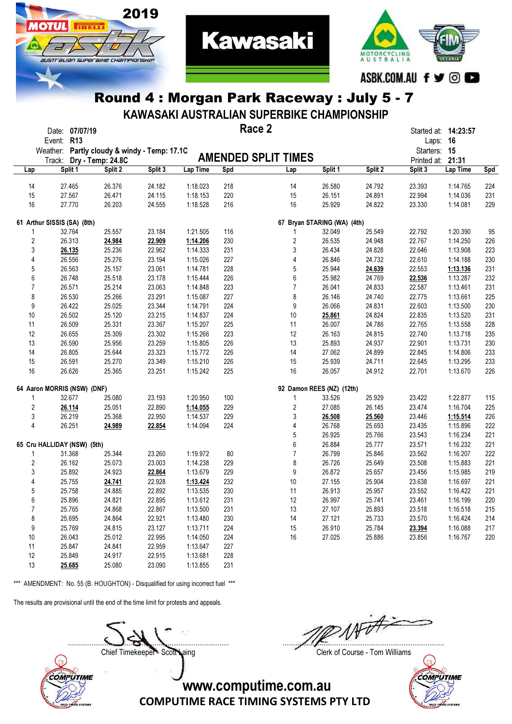

2019

**TRELL** 

austrauan superaixe championskii

KAWASAKI AUSTRALIAN SUPERBIKE CHAMPIONSHIP

**Kawasaki** 

|                  | Event: R13                  | Date: 07/07/19 | Weather: Partly cloudy & windy - Temp: 17.1C |         |          |     | Race 2                      |         |         | Started at: 14:23:57<br>Laps: 16<br>Starters: 15 |          |     |
|------------------|-----------------------------|----------------|----------------------------------------------|---------|----------|-----|-----------------------------|---------|---------|--------------------------------------------------|----------|-----|
|                  | Track:                      |                | Dry - Temp: 24.8C                            |         |          |     | <b>AMENDED SPLIT TIMES</b>  |         |         | Printed at: 21:31                                |          |     |
| Lap              |                             | Split 1        | Split 2                                      | Split 3 | Lap Time | Spd | Lap                         | Split 1 | Split 2 | Split 3                                          | Lap Time | Spd |
| 14               |                             | 27.465         | 26.376                                       | 24.182  | 1:18.023 | 218 | 14                          | 26.580  | 24.792  | 23.393                                           | 1:14.765 | 224 |
| 15               |                             | 27.567         | 26.471                                       | 24.115  | 1:18.153 | 220 | 15                          | 26.151  | 24.891  | 22.994                                           | 1:14.036 | 231 |
| 16               |                             | 27.770         | 26.203                                       | 24.555  | 1:18.528 | 216 | 16                          | 25.929  | 24.822  | 23.330                                           | 1:14.081 | 229 |
|                  | 61 Arthur SISSIS (SA) (8th) |                |                                              |         |          |     | 67 Bryan STARING (WA) (4th) |         |         |                                                  |          |     |
| 1                |                             | 32.764         | 25.557                                       | 23.184  | 1:21.505 | 116 | 1                           | 32.049  | 25.549  | 22.792                                           | 1:20.390 | 95  |
| $\boldsymbol{2}$ |                             | 26.313         | 24.984                                       | 22.909  | 1:14.206 | 230 | $\overline{\mathbf{c}}$     | 26.535  | 24.948  | 22.767                                           | 1:14.250 | 226 |
| 3                |                             | 26.135         | 25.236                                       | 22.962  | 1:14.333 | 231 | 3                           | 26.434  | 24.828  | 22.646                                           | 1:13.908 | 223 |
| 4                |                             | 26.556         | 25.276                                       | 23.194  | 1:15.026 | 227 | 4                           | 26.846  | 24.732  | 22.610                                           | 1:14.188 | 230 |
| 5                |                             | 26.563         | 25.157                                       | 23.061  | 1:14.781 | 228 | 5                           | 25.944  | 24.639  | 22.553                                           | 1:13.136 | 231 |
| 6                |                             | 26.748         | 25.518                                       | 23.178  | 1:15.444 | 226 | 6                           | 25.982  | 24.769  |                                                  |          | 232 |
| $\overline{7}$   |                             |                |                                              | 23.063  |          | 223 | $\overline{7}$              |         |         | 22.536                                           | 1:13.287 |     |
|                  |                             | 26.571         | 25.214                                       |         | 1:14.848 |     |                             | 26.041  | 24.833  | 22.587                                           | 1:13.461 | 231 |
| 8                |                             | 26.530         | 25.266                                       | 23.291  | 1:15.087 | 227 | 8                           | 26.146  | 24.740  | 22.775                                           | 1:13.661 | 225 |
| 9                |                             | 26.422         | 25.025                                       | 23.344  | 1:14.791 | 224 | 9                           | 26.066  | 24.831  | 22.603                                           | 1:13.500 | 230 |
| 10               |                             | 26.502         | 25.120                                       | 23.215  | 1:14.837 | 224 | 10                          | 25.861  | 24.824  | 22.835                                           | 1:13.520 | 231 |
| 11               |                             | 26.509         | 25.331                                       | 23.367  | 1:15.207 | 225 | 11                          | 26.007  | 24.786  | 22.765                                           | 1:13.558 | 228 |
| 12               |                             | 26.655         | 25.309                                       | 23.302  | 1:15.266 | 223 | 12                          | 26.163  | 24.815  | 22.740                                           | 1:13.718 | 235 |
| 13               |                             | 26.590         | 25.956                                       | 23.259  | 1:15.805 | 226 | 13                          | 25.893  | 24.937  | 22.901                                           | 1:13.731 | 230 |
| 14               |                             | 26.805         | 25.644                                       | 23.323  | 1:15.772 | 226 | 14                          | 27.062  | 24.899  | 22.845                                           | 1:14.806 | 233 |
| 15               |                             | 26.591         | 25.270                                       | 23.349  | 1:15.210 | 226 | 15                          | 25.939  | 24.711  | 22.645                                           | 1:13.295 | 233 |
| 16               |                             | 26.626         | 25.365                                       | 23.251  | 1:15.242 | 225 | 16                          | 26.057  | 24.912  | 22.701                                           | 1:13.670 | 226 |
|                  | 64 Aaron MORRIS (NSW) (DNF) |                |                                              |         |          |     | 92 Damon REES (NZ) (12th)   |         |         |                                                  |          |     |
| 1                |                             | 32.677         | 25.080                                       | 23.193  | 1:20.950 | 100 | 1                           | 33.526  | 25.929  | 23.422                                           | 1:22.877 | 115 |
| $\overline{c}$   |                             | 26.114         | 25.051                                       | 22.890  | 1:14.055 | 229 | 2                           | 27.085  | 26.145  | 23.474                                           | 1:16.704 | 225 |
| 3                |                             | 26.219         | 25.368                                       | 22.950  | 1:14.537 | 229 | 3                           | 26.508  | 25.560  | 23.446                                           | 1:15.514 | 226 |
| 4                |                             | 26.251         | 24.989                                       | 22.854  | 1:14.094 | 224 | 4                           | 26.768  | 25.693  | 23.435                                           | 1:15.896 | 222 |
|                  |                             |                |                                              |         |          |     | 5                           | 26.925  | 25.766  | 23.543                                           | 1:16.234 | 221 |
|                  | 65 Cru HALLIDAY (NSW) (5th) |                |                                              |         |          |     | 6                           | 26.884  | 25.777  | 23.571                                           | 1:16.232 | 221 |
| 1                |                             | 31.368         | 25.344                                       | 23.260  | 1:19.972 | 80  | $\overline{7}$              | 26.799  | 25.846  | 23.562                                           | 1:16.207 | 222 |
| $\overline{2}$   |                             |                | 25.073                                       | 23.003  | 1:14.238 | 229 | 8                           | 26.726  |         |                                                  |          | 221 |
|                  |                             | 26.162         |                                              |         |          |     |                             |         | 25.649  | 23.508                                           | 1:15.883 |     |
| 3                |                             | 25.892         | 24.923                                       | 22.864  | 1:13.679 | 229 | 9                           | 26.872  | 25.657  | 23.456                                           | 1:15.985 | 219 |
| 4                |                             | 25.755         | 24.741                                       | 22.928  | 1:13.424 | 232 | 10                          | 27.155  | 25.904  | 23.638                                           | 1:16.697 | 221 |
| $5\,$            |                             | 25.758         | 24.885                                       | 22.892  | 1:13.535 | 230 | 11                          | 26.913  | 25.957  | 23.552                                           | 1:16.422 | 221 |
| 6                |                             | 25.896         | 24.821                                       | 22.895  | 1:13.612 | 231 | 12                          | 26.997  | 25.741  | 23.461                                           | 1:16.199 | 220 |
| $\overline{7}$   |                             | 25.765         | 24.868                                       | 22.867  | 1:13.500 | 231 | 13                          | 27.107  | 25.893  | 23.518                                           | 1:16.518 | 215 |
| 8                |                             | 25.695         | 24.864                                       | 22.921  | 1:13.480 | 230 | 14                          | 27.121  | 25.733  | 23.570                                           | 1:16.424 | 214 |
| 9                |                             | 25.769         | 24.815                                       | 23.127  | 1:13.711 | 224 | 15                          | 26.910  | 25.784  | 23.394                                           | 1:16.088 | 217 |
| 10               |                             | 26.043         | 25.012                                       | 22.995  | 1:14.050 | 224 | 16                          | 27.025  | 25.886  | 23.856                                           | 1:16.767 | 220 |
| 11               |                             | 25.847         | 24.841                                       | 22.959  | 1:13.647 | 227 |                             |         |         |                                                  |          |     |
| 12               |                             | 25.849         | 24.917                                       | 22.915  | 1:13.681 | 228 |                             |         |         |                                                  |          |     |
| 13               |                             | 25.685         | 25.080                                       | 23.090  | 1:13.855 | 231 |                             |         |         |                                                  |          |     |

\*\*\* AMENDMENT: No. 55 (B. HOUGHTON) - Disqualified for using incorrect fuel \*\*\*

The results are provisional until the end of the time limit for protests and appeals.

....................................................................................... .......................................................................................



Chief Timekeeper - Scott Laing Clerk of Course - Tom Williams

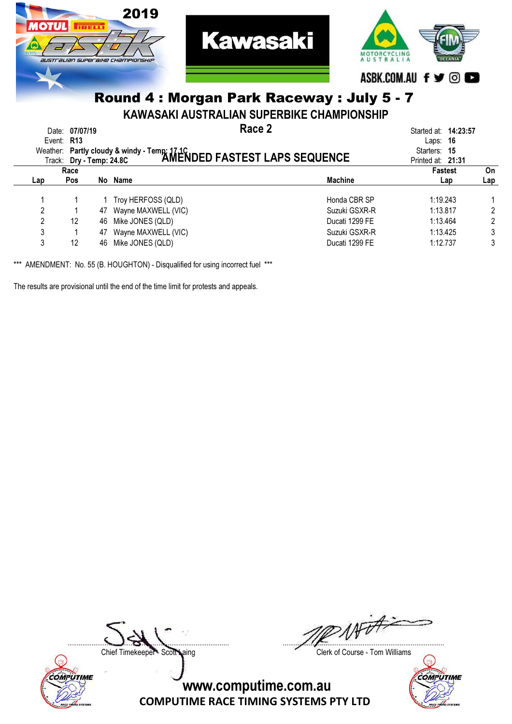

KAWASAKI AUSTRALIAN SUPERBIKE CHAMPIONSHIP

| Event: R13 | Date: 07/07/19           |    | Race 2                                                                                                        |                | Started at: <b>14:23:57</b><br>- 16<br>Laps: |     |
|------------|--------------------------|----|---------------------------------------------------------------------------------------------------------------|----------------|----------------------------------------------|-----|
|            | Track: Dry - Temp: 24.8C |    | Weather: Partly cloudy & windy - Temp: 17.1C<br>Track: Dry - Temp: 24.8C <b>AMENDED FASTEST LAPS SEQUENCE</b> |                | Starters:<br>-15<br>Printed at: 21:31        |     |
|            | Race                     |    |                                                                                                               |                | <b>Fastest</b>                               | On  |
| Lap        | <b>Pos</b>               |    | No Name                                                                                                       | <b>Machine</b> | Lap                                          | Lap |
|            |                          |    | Troy HERFOSS (QLD)                                                                                            | Honda CBR SP   | 1:19.243                                     |     |
| 2          |                          | 47 | Wayne MAXWELL (VIC)                                                                                           | Suzuki GSXR-R  | 1:13.817                                     | 2   |
| 2          | 12                       | 46 | Mike JONES (QLD)                                                                                              | Ducati 1299 FE | 1:13.464                                     | 2   |
| 3          |                          | 47 | Wayne MAXWELL (VIC)                                                                                           | Suzuki GSXR-R  | 1:13.425                                     | 3   |
| 3          | 12                       | 46 | Mike JONES (QLD)                                                                                              | Ducati 1299 FE | 1:12.737                                     | 3   |

\*\*\* AMENDMENT: No. 55 (B. HOUGHTON) - Disqualified for using incorrect fuel \*\*\*

The results are provisional until the end of the time limit for protests and appeals.



**NF** ....................................................................................... .......................................................................................

Chief Timekeeper - Scott Laing Clerk of Course - Tom Williams

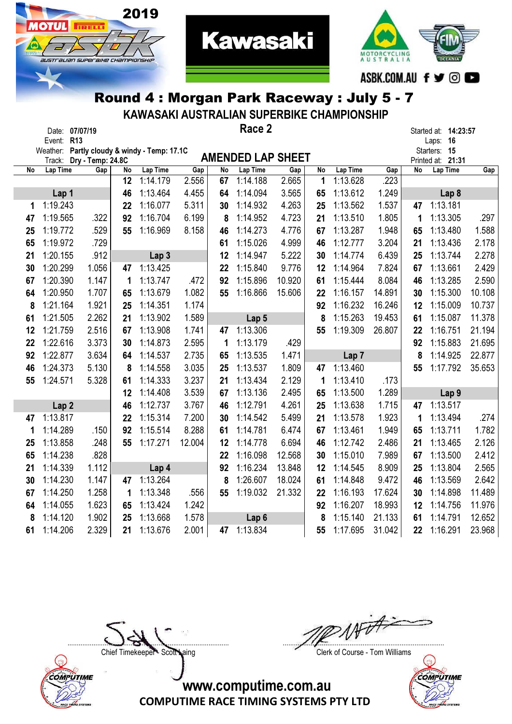

**10TUL FIRELLY** 

australian superaixe championskir

KAWASAKI AUSTRALIAN SUPERBIKE CHAMPIONSHIP

**Kawasaki** 

|    |                  | Date: 07/07/19                               |    |                  |        |    | Race 2                   |        |    |                  |        |    | Started at: 14:23:57     |        |
|----|------------------|----------------------------------------------|----|------------------|--------|----|--------------------------|--------|----|------------------|--------|----|--------------------------|--------|
|    | Event: R13       | Weather: Partly cloudy & windy - Temp: 17.1C |    |                  |        |    |                          |        |    |                  |        |    | Laps: 16<br>Starters: 15 |        |
|    |                  | Track: Dry - Temp: 24.8C                     |    |                  |        |    | <b>AMENDED LAP SHEET</b> |        |    |                  |        |    | Printed at: 21:31        |        |
| No | Lap Time         | Gap                                          | No | Lap Time         | Gap    | No | <b>Lap Time</b>          | Gap    | No | Lap Time         | Gap    | No | Lap Time                 | Gap    |
|    |                  |                                              | 12 | 1:14.179         | 2.556  | 67 | 1:14.188                 | 2.665  | 1  | 1:13.628         | .223   |    |                          |        |
|    | Lap 1            |                                              | 46 | 1:13.464         | 4.455  | 64 | 1:14.094                 | 3.565  | 65 | 1:13.612         | 1.249  |    | Lap <sub>8</sub>         |        |
| 1  | 1:19.243         |                                              | 22 | 1:16.077         | 5.311  | 30 | 1:14.932                 | 4.263  | 25 | 1:13.562         | 1.537  | 47 | 1:13.181                 |        |
| 47 | 1:19.565         | .322                                         | 92 | 1:16.704         | 6.199  | 8  | 1:14.952                 | 4.723  | 21 | 1:13.510         | 1.805  | 1  | 1:13.305                 | .297   |
| 25 | 1:19.772         | .529                                         | 55 | 1:16.969         | 8.158  | 46 | 1:14.273                 | 4.776  | 67 | 1:13.287         | 1.948  | 65 | 1:13.480                 | 1.588  |
| 65 | 1:19.972         | .729                                         |    |                  |        | 61 | 1:15.026                 | 4.999  | 46 | 1:12.777         | 3.204  | 21 | 1:13.436                 | 2.178  |
| 21 | 1:20.155         | .912                                         |    | Lap <sub>3</sub> |        | 12 | 1:14.947                 | 5.222  | 30 | 1:14.774         | 6.439  | 25 | 1:13.744                 | 2.278  |
| 30 | 1:20.299         | 1.056                                        | 47 | 1:13.425         |        | 22 | 1:15.840                 | 9.776  | 12 | 1:14.964         | 7.824  | 67 | 1:13.661                 | 2.429  |
| 67 | 1:20.390         | 1.147                                        | 1  | 1:13.747         | .472   | 92 | 1:15.896                 | 10.920 | 61 | 1:15.444         | 8.084  | 46 | 1:13.285                 | 2.590  |
| 64 | 1:20.950         | 1.707                                        | 65 | 1:13.679         | 1.082  | 55 | 1:16.866                 | 15.606 | 22 | 1:16.157         | 14.891 | 30 | 1:15.300                 | 10.108 |
| 8  | 1:21.164         | 1.921                                        | 25 | 1:14.351         | 1.174  |    |                          |        | 92 | 1:16.232         | 16.246 | 12 | 1:15.009                 | 10.737 |
| 61 | 1:21.505         | 2.262                                        | 21 | 1:13.902         | 1.589  |    | Lap 5                    |        | 8  | 1:15.263         | 19.453 | 61 | 1:15.087                 | 11.378 |
| 12 | 1:21.759         | 2.516                                        | 67 | 1:13.908         | 1.741  | 47 | 1:13.306                 |        | 55 | 1:19.309         | 26.807 | 22 | 1:16.751                 | 21.194 |
| 22 | 1:22.616         | 3.373                                        | 30 | 1:14.873         | 2.595  | 1  | 1:13.179                 | .429   |    |                  |        | 92 | 1:15.883                 | 21.695 |
| 92 | 1:22.877         | 3.634                                        | 64 | 1:14.537         | 2.735  | 65 | 1:13.535                 | 1.471  |    | Lap <sub>7</sub> |        | 8  | 1:14.925                 | 22.877 |
| 46 | 1:24.373         | 5.130                                        | 8  | 1:14.558         | 3.035  | 25 | 1:13.537                 | 1.809  | 47 | 1:13.460         |        | 55 | 1:17.792                 | 35.653 |
| 55 | 1:24.571         | 5.328                                        | 61 | 1:14.333         | 3.237  | 21 | 1:13.434                 | 2.129  | 1  | 1:13.410         | .173   |    |                          |        |
|    |                  |                                              | 12 | 1:14.408         | 3.539  | 67 | 1:13.136                 | 2.495  | 65 | 1:13.500         | 1.289  |    | Lap <sub>9</sub>         |        |
|    | Lap <sub>2</sub> |                                              | 46 | 1:12.737         | 3.767  | 46 | 1:12.791                 | 4.261  | 25 | 1:13.638         | 1.715  | 47 | 1:13.517                 |        |
| 47 | 1:13.817         |                                              | 22 | 1:15.314         | 7.200  | 30 | 1:14.542                 | 5.499  | 21 | 1:13.578         | 1.923  | 1  | 1:13.494                 | .274   |
| 1  | 1:14.289         | .150                                         | 92 | 1:15.514         | 8.288  | 61 | 1:14.781                 | 6.474  | 67 | 1:13.461         | 1.949  | 65 | 1:13.711                 | 1.782  |
| 25 | 1:13.858         | .248                                         | 55 | 1:17.271         | 12.004 | 12 | 1:14.778                 | 6.694  | 46 | 1:12.742         | 2.486  | 21 | 1:13.465                 | 2.126  |
| 65 | 1:14.238         | .828                                         |    |                  |        | 22 | 1:16.098                 | 12.568 | 30 | 1:15.010         | 7.989  | 67 | 1:13.500                 | 2.412  |
| 21 | 1:14.339         | 1.112                                        |    | Lap 4            |        | 92 | 1:16.234                 | 13.848 | 12 | 1:14.545         | 8.909  | 25 | 1:13.804                 | 2.565  |
| 30 | 1:14.230         | 1.147                                        | 47 | 1:13.264         |        | 8  | 1:26.607                 | 18.024 | 61 | 1:14.848         | 9.472  | 46 | 1:13.569                 | 2.642  |
| 67 | 1:14.250         | 1.258                                        | 1  | 1:13.348         | .556   | 55 | 1:19.032                 | 21.332 | 22 | 1:16.193         | 17.624 | 30 | 1:14.898                 | 11.489 |
| 64 | 1:14.055         | 1.623                                        | 65 | 1:13.424         | 1.242  |    |                          |        | 92 | 1:16.207         | 18.993 | 12 | 1:14.756                 | 11.976 |
| 8  | 1:14.120         | 1.902                                        | 25 | 1:13.668         | 1.578  |    | Lap <sub>6</sub>         |        | 8  | 1:15.140         | 21.133 | 61 | 1:14.791                 | 12.652 |
| 61 | 1:14.206         | 2.329                                        | 21 | 1:13.676         | 2.001  | 47 | 1:13.834                 |        | 55 | 1:17.695         | 31.042 | 22 | 1:16.291                 | 23.968 |



....................................................................................... .......................................................................................

Chief Timekeeper - Scott Laing Chief Timekeeper - Scott Laing

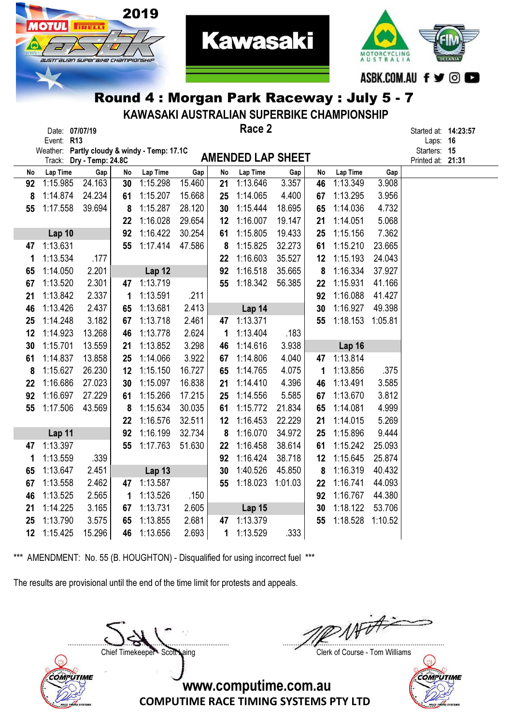

2019

**TRELL** 

STT aLIAN SUPER BIHE CHAMPIONSHI

KAWASAKI AUSTRALIAN SUPERBIKE CHAMPIONSHIP

**Kawasaki** 

|    | Date: 07/07/19<br>Event: R13                                             |        |    |               |        |    | Race 2                   |         |    |          |         | Started at: <b>14:23:57</b><br>Laps: 16 |  |
|----|--------------------------------------------------------------------------|--------|----|---------------|--------|----|--------------------------|---------|----|----------|---------|-----------------------------------------|--|
|    | Weather: Partly cloudy & windy - Temp: 17.1C<br>Track: Dry - Temp: 24.8C |        |    |               |        |    | <b>AMENDED LAP SHEET</b> |         |    |          |         | Starters: 15<br>Printed at: 21:31       |  |
| No | Lap Time                                                                 | Gap    | No | Lap Time      | Gap    | No | Lap Time                 | Gap     | No | Lap Time | Gap     |                                         |  |
| 92 | 1:15.985                                                                 | 24.163 | 30 | 1:15.298      | 15.460 | 21 | 1:13.646                 | 3.357   | 46 | 1:13.349 | 3.908   |                                         |  |
| 8  | 1:14.874                                                                 | 24.234 | 61 | 1:15.207      | 15.668 | 25 | 1:14.065                 | 4.400   | 67 | 1:13.295 | 3.956   |                                         |  |
| 55 | 1:17.558                                                                 | 39.694 | 8  | 1:15.287      | 28.120 | 30 | 1:15.444                 | 18.695  | 65 | 1:14.036 | 4.732   |                                         |  |
|    |                                                                          |        | 22 | 1:16.028      | 29.654 | 12 | 1:16.007                 | 19.147  | 21 | 1:14.051 | 5.068   |                                         |  |
|    | Lap 10                                                                   |        | 92 | 1:16.422      | 30.254 | 61 | 1:15.805                 | 19.433  | 25 | 1:15.156 | 7.362   |                                         |  |
| 47 | 1:13.631                                                                 |        | 55 | 1:17.414      | 47.586 | 8  | 1:15.825                 | 32.273  | 61 | 1:15.210 | 23.665  |                                         |  |
| 1  | 1:13.534                                                                 | .177   |    |               |        | 22 | 1:16.603                 | 35.527  | 12 | 1:15.193 | 24.043  |                                         |  |
| 65 | 1:14.050                                                                 | 2.201  |    | Lap 12        |        | 92 | 1:16.518                 | 35.665  | 8  | 1:16.334 | 37.927  |                                         |  |
| 67 | 1:13.520                                                                 | 2.301  | 47 | 1:13.719      |        | 55 | 1:18.342                 | 56.385  | 22 | 1:15.931 | 41.166  |                                         |  |
| 21 | 1:13.842                                                                 | 2.337  | 1  | 1:13.591      | .211   |    |                          |         | 92 | 1:16.088 | 41.427  |                                         |  |
| 46 | 1:13.426                                                                 | 2.437  | 65 | 1:13.681      | 2.413  |    | Lap 14                   |         | 30 | 1:16.927 | 49.398  |                                         |  |
| 25 | 1:14.248                                                                 | 3.182  | 67 | 1:13.718      | 2.461  | 47 | 1:13.371                 |         | 55 | 1:18.153 | 1:05.81 |                                         |  |
| 12 | 1:14.923                                                                 | 13.268 | 46 | 1:13.778      | 2.624  | 1  | 1:13.404                 | .183    |    |          |         |                                         |  |
| 30 | 1:15.701                                                                 | 13.559 | 21 | 1:13.852      | 3.298  | 46 | 1:14.616                 | 3.938   |    | Lap 16   |         |                                         |  |
| 61 | 1:14.837                                                                 | 13.858 | 25 | 1:14.066      | 3.922  | 67 | 1:14.806                 | 4.040   | 47 | 1:13.814 |         |                                         |  |
| 8  | 1:15.627                                                                 | 26.230 | 12 | 1:15.150      | 16.727 | 65 | 1:14.765                 | 4.075   | 1  | 1:13.856 | .375    |                                         |  |
| 22 | 1:16.686                                                                 | 27.023 | 30 | 1:15.097      | 16.838 | 21 | 1:14.410                 | 4.396   | 46 | 1:13.491 | 3.585   |                                         |  |
| 92 | 1:16.697                                                                 | 27.229 | 61 | 1:15.266      | 17.215 | 25 | 1:14.556                 | 5.585   | 67 | 1:13.670 | 3.812   |                                         |  |
| 55 | 1:17.506                                                                 | 43.569 | 8  | 1:15.634      | 30.035 | 61 | 1:15.772                 | 21.834  | 65 | 1:14.081 | 4.999   |                                         |  |
|    |                                                                          |        | 22 | 1:16.576      | 32.511 | 12 | 1:16.453                 | 22.229  | 21 | 1:14.015 | 5.269   |                                         |  |
|    | Lap 11                                                                   |        | 92 | 1:16.199      | 32.734 | 8  | 1:16.070                 | 34.972  | 25 | 1:15.896 | 9.444   |                                         |  |
| 47 | 1:13.397                                                                 |        | 55 | 1:17.763      | 51.630 | 22 | 1:16.458                 | 38.614  | 61 | 1:15.242 | 25.093  |                                         |  |
| 1  | 1:13.559                                                                 | .339   |    |               |        | 92 | 1:16.424                 | 38.718  | 12 | 1:15.645 | 25.874  |                                         |  |
| 65 | 1:13.647                                                                 | 2.451  |    | <b>Lap 13</b> |        | 30 | 1:40.526                 | 45.850  | 8  | 1:16.319 | 40.432  |                                         |  |
| 67 | 1:13.558                                                                 | 2.462  | 47 | 1:13.587      |        | 55 | 1:18.023                 | 1:01.03 | 22 | 1:16.741 | 44.093  |                                         |  |
| 46 | 1:13.525                                                                 | 2.565  | 1  | 1:13.526      | .150   |    |                          |         | 92 | 1:16.767 | 44.380  |                                         |  |
| 21 | 1:14.225                                                                 | 3.165  | 67 | 1:13.731      | 2.605  |    | <b>Lap 15</b>            |         | 30 | 1:18.122 | 53.706  |                                         |  |
| 25 | 1:13.790                                                                 | 3.575  | 65 | 1:13.855      | 2.681  | 47 | 1:13.379                 |         | 55 | 1:18.528 | 1:10.52 |                                         |  |
| 12 | 1:15.425                                                                 | 15.296 | 46 | 1:13.656      | 2.693  | 1  | 1:13.529                 | .333    |    |          |         |                                         |  |

\*\*\* AMENDMENT: No. 55 (B. HOUGHTON) - Disqualified for using incorrect fuel \*\*\*

The results are provisional until the end of the time limit for protests and appeals.

COMPUTIME



Chief Timekeeper - Scott Laing Clerk of Course - Tom Williams

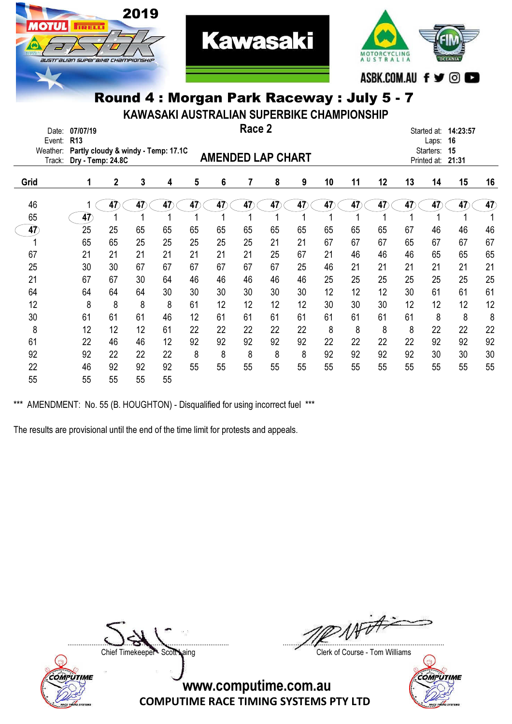

MOTORCYCLING ASBK.COM.AU f y ©

#### Round 4 : Morgan Park Raceway : July 5 - 7

KAWASAKI AUSTRALIAN SUPERBIKE CHAMPIONSHIP

| Date:<br>Event:    | 07/07/19<br>R <sub>13</sub>                              |    |    |    |    |                          | Race 2 |    |    |    |    |    |    | Started at:<br>Laps:     | 14:23:57<br>16 |                       |
|--------------------|----------------------------------------------------------|----|----|----|----|--------------------------|--------|----|----|----|----|----|----|--------------------------|----------------|-----------------------|
| Weather:<br>Track: | Partly cloudy & windy - Temp: 17.1C<br>Dry - Temp: 24.8C |    |    |    |    | <b>AMENDED LAP CHART</b> |        |    |    |    |    |    |    | Starters:<br>Printed at: | 15<br>21:31    |                       |
| Grid               | 1                                                        | 2  | 3  | 4  | 5  | 6                        | 7      | 8  | 9  | 10 | 11 | 12 | 13 | 14                       | 15             | 16                    |
| 46                 |                                                          | 47 | 47 | 47 | 47 | 47                       | 47     | 47 | 47 | 47 | 47 | 47 | 47 | 47                       | 47             | $\overrightarrow{47}$ |
| 65                 | 47                                                       |    |    |    |    |                          |        |    |    |    |    |    |    |                          |                |                       |
| 47                 | 25                                                       | 25 | 65 | 65 | 65 | 65                       | 65     | 65 | 65 | 65 | 65 | 65 | 67 | 46                       | 46             | 46                    |
|                    | 65                                                       | 65 | 25 | 25 | 25 | 25                       | 25     | 21 | 21 | 67 | 67 | 67 | 65 | 67                       | 67             | 67                    |
| 67                 | 21                                                       | 21 | 21 | 21 | 21 | 21                       | 21     | 25 | 67 | 21 | 46 | 46 | 46 | 65                       | 65             | 65                    |
| 25                 | 30                                                       | 30 | 67 | 67 | 67 | 67                       | 67     | 67 | 25 | 46 | 21 | 21 | 21 | 21                       | 21             | 21                    |
| 21                 | 67                                                       | 67 | 30 | 64 | 46 | 46                       | 46     | 46 | 46 | 25 | 25 | 25 | 25 | 25                       | 25             | 25                    |
| 64                 | 64                                                       | 64 | 64 | 30 | 30 | 30                       | 30     | 30 | 30 | 12 | 12 | 12 | 30 | 61                       | 61             | 61                    |
| 12                 | 8                                                        | 8  | 8  | 8  | 61 | 12                       | 12     | 12 | 12 | 30 | 30 | 30 | 12 | 12                       | 12             | 12                    |
| 30                 | 61                                                       | 61 | 61 | 46 | 12 | 61                       | 61     | 61 | 61 | 61 | 61 | 61 | 61 | 8                        | 8              | 8                     |
| 8                  | 12                                                       | 12 | 12 | 61 | 22 | 22                       | 22     | 22 | 22 | 8  | 8  | 8  | 8  | 22                       | 22             | 22                    |
| 61                 | 22                                                       | 46 | 46 | 12 | 92 | 92                       | 92     | 92 | 92 | 22 | 22 | 22 | 22 | 92                       | 92             | 92                    |
| 92                 | 92                                                       | 22 | 22 | 22 | 8  | 8                        | 8      | 8  | 8  | 92 | 92 | 92 | 92 | 30                       | 30             | 30                    |
| 22                 | 46                                                       | 92 | 92 | 92 | 55 | 55                       | 55     | 55 | 55 | 55 | 55 | 55 | 55 | 55                       | 55             | 55                    |
| 55                 | 55                                                       | 55 | 55 | 55 |    |                          |        |    |    |    |    |    |    |                          |                |                       |

\*\*\* AMENDMENT: No. 55 (B. HOUGHTON) - Disqualified for using incorrect fuel \*\*\*

The results are provisional until the end of the time limit for protests and appeals.



....................................................................................... .......................................................................................

Chief Timekeeper - Scott Laing Clerk of Course - Tom Williams

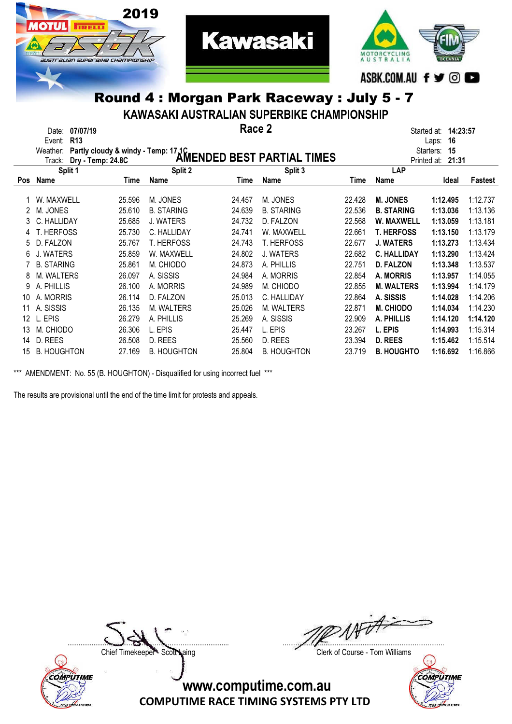

KAWASAKI AUSTRALIAN SUPERBIKE CHAMPIONSHIP

|            | 07/07/19<br>Date:<br><b>R13</b><br>Event: |        |                                     | Race 2 |                            |        |                    | 14:23:57<br>Started at:<br>16<br>Laps: |          |
|------------|-------------------------------------------|--------|-------------------------------------|--------|----------------------------|--------|--------------------|----------------------------------------|----------|
|            | Weather:                                  |        | Partly cloudy & windy - Temp: 17.1C |        |                            |        |                    | Starters:<br>15                        |          |
|            | Track: Dry - Temp: 24.8C                  |        |                                     |        | AMENDED BEST PARTIAL TIMES |        |                    | Printed at:<br>21:31                   |          |
|            | Split 1                                   |        | Split 2                             |        | Split 3                    |        | <b>LAP</b>         |                                        |          |
| <b>Pos</b> | <b>Name</b>                               | Time   | Name                                | Time   | Name                       | Time   | Name               | Ideal                                  | Fastest  |
|            | W. MAXWELL                                | 25.596 | M. JONES                            | 24.457 | M. JONES                   | 22.428 | <b>M. JONES</b>    | 1:12.495                               | 1:12.737 |
| 2          | M. JONES                                  | 25.610 | <b>B. STARING</b>                   | 24.639 | <b>B. STARING</b>          | 22.536 | <b>B. STARING</b>  | 1:13.036                               | 1:13.136 |
| 3          | C. HALLIDAY                               | 25.685 | J. WATERS                           | 24.732 | D. FALZON                  | 22.568 | W. MAXWELL         | 1:13.059                               | 1:13.181 |
|            | T. HERFOSS                                | 25.730 | C. HALLIDAY                         | 24.741 | W. MAXWELL                 | 22.661 | <b>T. HERFOSS</b>  | 1:13.150                               | 1:13.179 |
|            | D. FALZON                                 | 25.767 | <b>T. HERFOSS</b>                   | 24.743 | <b>T. HERFOSS</b>          | 22.677 | <b>J. WATERS</b>   | 1:13.273                               | 1:13.434 |
| 6          | J. WATERS                                 | 25.859 | W. MAXWELL                          | 24.802 | J. WATERS                  | 22.682 | <b>C. HALLIDAY</b> | 1:13.290                               | 1:13.424 |
|            | <b>B. STARING</b>                         | 25.861 | M. CHIODO                           | 24.873 | A. PHILLIS                 | 22.751 | <b>D. FALZON</b>   | 1:13.348                               | 1:13.537 |
|            | M. WALTERS                                | 26.097 | A. SISSIS                           | 24.984 | A. MORRIS                  | 22.854 | A. MORRIS          | 1:13.957                               | 1:14.055 |
| 9          | A. PHILLIS                                | 26.100 | A. MORRIS                           | 24.989 | M. CHIODO                  | 22.855 | <b>M. WALTERS</b>  | 1:13.994                               | 1:14.179 |
| 10         | A. MORRIS                                 | 26.114 | D. FALZON                           | 25.013 | C. HALLIDAY                | 22.864 | A. SISSIS          | 1:14.028                               | 1:14.206 |
| 11         | A. SISSIS                                 | 26.135 | M. WALTERS                          | 25.026 | <b>M. WALTERS</b>          | 22.871 | <b>M. CHIODO</b>   | 1:14.034                               | 1:14.230 |
| 12         | L. EPIS                                   | 26.279 | A. PHILLIS                          | 25.269 | A. SISSIS                  | 22.909 | A. PHILLIS         | 1:14.120                               | 1:14.120 |
| 13         | M. CHIODO                                 | 26,306 | L. EPIS                             | 25.447 | L. EPIS                    | 23.267 | L. EPIS            | 1:14.993                               | 1:15.314 |
| 14         | D. REES                                   | 26.508 | D. REES                             | 25.560 | D. REES                    | 23.394 | <b>D. REES</b>     | 1:15.462                               | 1:15.514 |
| 15         | <b>B. HOUGHTON</b>                        | 27.169 | <b>B. HOUGHTON</b>                  | 25.804 | <b>B. HOUGHTON</b>         | 23.719 | <b>B. HOUGHTO</b>  | 1:16.692                               | 1:16.866 |

\*\*\* AMENDMENT: No. 55 (B. HOUGHTON) - Disqualified for using incorrect fuel \*\*\*

The results are provisional until the end of the time limit for protests and appeals.



....................................................................................... .......................................................................................

Chief Timekeeper - Scott Laing Clerk of Course - Tom Williams

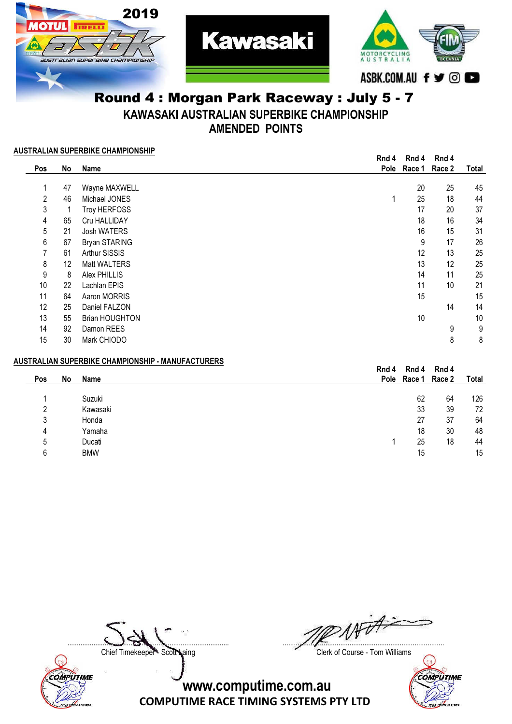

KAWASAKI AUSTRALIAN SUPERBIKE CHAMPIONSHIP

AMENDED POINTS

#### AUSTRALIAN SUPERBIKE CHAMPIONSHIP

|            |    |                       | Rnd 4 | Rnd 4  | Rnd 4  |       |
|------------|----|-----------------------|-------|--------|--------|-------|
| <b>Pos</b> | No | Name                  | Pole  | Race 1 | Race 2 | Total |
|            |    |                       |       |        |        |       |
|            | 47 | Wayne MAXWELL         |       | 20     | 25     | 45    |
| 2          | 46 | Michael JONES         | 1     | 25     | 18     | 44    |
| 3          |    | Troy HERFOSS          |       | 17     | 20     | 37    |
| 4          | 65 | Cru HALLIDAY          |       | 18     | 16     | 34    |
| 5          | 21 | Josh WATERS           |       | 16     | 15     | 31    |
| 6          | 67 | Bryan STARING         |       | 9      | 17     | 26    |
|            | 61 | Arthur SISSIS         |       | 12     | 13     | 25    |
| 8          | 12 | Matt WALTERS          |       | 13     | 12     | 25    |
| 9          | 8  | Alex PHILLIS          |       | 14     | 11     | 25    |
| 10         | 22 | Lachlan EPIS          |       | 11     | 10     | 21    |
| 11         | 64 | Aaron MORRIS          |       | 15     |        | 15    |
| 12         | 25 | Daniel FALZON         |       |        | 14     | 14    |
| 13         | 55 | <b>Brian HOUGHTON</b> |       | 10     |        | 10    |
| 14         | 92 | Damon REES            |       |        | 9      | 9     |
| 15         | 30 | Mark CHIODO           |       |        | 8      | 8     |

#### AUSTRALIAN SUPERBIKE CHAMPIONSHIP - MANUFACTURERS

|     |    |            | Rnd 4 | Rnd 4              | Rnd 4 |       |
|-----|----|------------|-------|--------------------|-------|-------|
| Pos | No | Name       |       | Pole Race 1 Race 2 |       | Total |
|     |    | Suzuki     |       | 62                 | 64    | 126   |
|     |    | Kawasaki   |       | 33                 | 39    | 72    |
| 3   |    | Honda      |       | 27                 | 37    | 64    |
| 4   |    | Yamaha     |       | 18                 | 30    | 48    |
| 5   |    | Ducati     |       | 25                 | 18    | 44    |
| 6   |    | <b>BMW</b> |       | 15                 |       | 15    |
|     |    |            |       |                    |       |       |



....................................................................................... .......................................................................................

Chief Timekeeper - Scott Laing Clerk of Course - Tom Williams

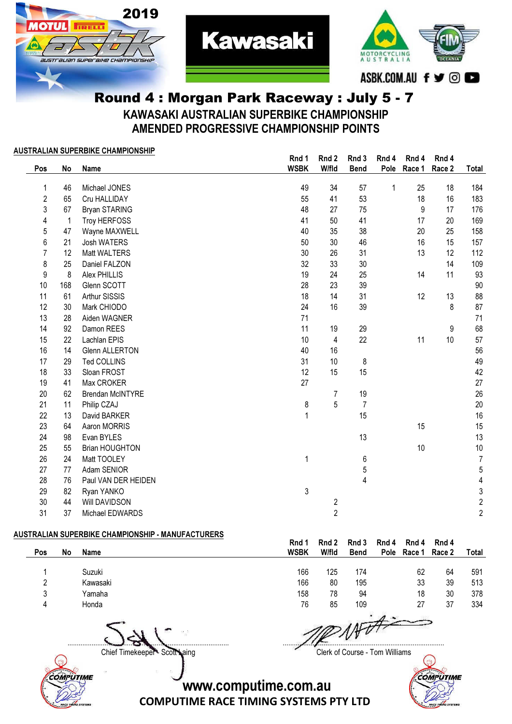



#### Round 4 : Morgan Park Raceway : July 5 - 7 KAWASAKI AUSTRALIAN SUPERBIKE CHAMPIONSHIP AMENDED PROGRESSIVE CHAMPIONSHIP POINTS

**Kawasaki** 

#### AUSTRALIAN SUPERBIKE CHAMPIONSHIP

|                  |     |                         | Rnd 1        | Rnd 2                   | Rnd 3          | Rnd 4        | Rnd 4  | Rnd 4  |                |
|------------------|-----|-------------------------|--------------|-------------------------|----------------|--------------|--------|--------|----------------|
| Pos              | No  | <b>Name</b>             | <b>WSBK</b>  | W/fld                   | <b>Bend</b>    | Pole         | Race 1 | Race 2 | Total          |
| 1                | 46  | Michael JONES           | 49           | 34                      | 57             | $\mathbf{1}$ | 25     | 18     | 184            |
| $\overline{2}$   | 65  | Cru HALLIDAY            | 55           | 41                      | 53             |              | 18     | 16     | 183            |
| 3                | 67  | Bryan STARING           | 48           | 27                      | 75             |              | 9      | 17     | 176            |
| 4                | 1   | Troy HERFOSS            | 41           | 50                      | 41             |              | 17     | 20     | 169            |
| 5                | 47  | Wayne MAXWELL           | 40           | 35                      | 38             |              | 20     | 25     | 158            |
| 6                | 21  | Josh WATERS             | 50           | 30                      | 46             |              | 16     | 15     | 157            |
| $\overline{7}$   | 12  | Matt WALTERS            | 30           | 26                      | 31             |              | 13     | 12     | 112            |
| 8                | 25  | Daniel FALZON           | 32           | 33                      | 30             |              |        | 14     | 109            |
| $\boldsymbol{9}$ | 8   | Alex PHILLIS            | 19           | 24                      | 25             |              | 14     | 11     | 93             |
| 10               | 168 | Glenn SCOTT             | 28           | 23                      | 39             |              |        |        | 90             |
| 11               | 61  | Arthur SISSIS           | 18           | 14                      | 31             |              | 12     | 13     | 88             |
| 12               | 30  | Mark CHIODO             | 24           | 16                      | 39             |              |        | 8      | 87             |
| 13               | 28  | Aiden WAGNER            | 71           |                         |                |              |        |        | 71             |
| 14               | 92  | Damon REES              | 11           | 19                      | 29             |              |        | 9      | 68             |
| 15               | 22  | Lachlan EPIS            | 10           | 4                       | 22             |              | 11     | 10     | 57             |
| 16               | 14  | <b>Glenn ALLERTON</b>   | 40           | 16                      |                |              |        |        | 56             |
| 17               | 29  | Ted COLLINS             | 31           | 10                      | 8              |              |        |        | 49             |
| 18               | 33  | Sloan FROST             | 12           | 15                      | 15             |              |        |        | 42             |
| 19               | 41  | Max CROKER              | 27           |                         |                |              |        |        | 27             |
| 20               | 62  | <b>Brendan McINTYRE</b> |              | $\overline{7}$          | 19             |              |        |        | 26             |
| 21               | 11  | Philip CZAJ             | 8            | 5                       | $\overline{7}$ |              |        |        | 20             |
| 22               | 13  | David BARKER            | $\mathbf{1}$ |                         | 15             |              |        |        | 16             |
| 23               | 64  | Aaron MORRIS            |              |                         |                |              | 15     |        | 15             |
| 24               | 98  | Evan BYLES              |              |                         | 13             |              |        |        | 13             |
| 25               | 55  | <b>Brian HOUGHTON</b>   |              |                         |                |              | 10     |        | 10             |
| 26               | 24  | Matt TOOLEY             | 1            |                         | 6              |              |        |        | $\overline{7}$ |
| 27               | 77  | Adam SENIOR             |              |                         | 5              |              |        |        | $\overline{5}$ |
| 28               | 76  | Paul VAN DER HEIDEN     |              |                         | 4              |              |        |        | 4              |
| 29               | 82  | Ryan YANKO              | 3            |                         |                |              |        |        | 3              |
| 30               | 44  | Will DAVIDSON           |              | $\overline{\mathbf{c}}$ |                |              |        |        | $\overline{2}$ |
| 31               | 37  | Michael EDWARDS         |              | $\overline{2}$          |                |              |        |        | $\overline{2}$ |

#### AUSTRALIAN SUPERBIKE CHAMPIONSHIP - MANUFACTURERS

|     |    |                           | Rnd 1       | Rnd 2 | Rnd 3                  | Rnd 4       | Rnd 4  | Rnd 4  |       |
|-----|----|---------------------------|-------------|-------|------------------------|-------------|--------|--------|-------|
| Pos | No | <b>Name</b>               | <b>WSBK</b> | W/fld | <b>Bend</b>            | <b>Pole</b> | Race 1 | Race 2 | Total |
|     |    |                           |             |       |                        |             |        |        |       |
|     |    | Suzuki                    | 166         | 125   | 174                    |             | 62     | 64     | 591   |
|     |    | Kawasaki                  | 166         | 80    | 195                    |             | 33     | 39     | 513   |
|     |    | Yamaha                    | 158         | 78    | 94                     |             | 18     | 30     | 378   |
| 4   |    | Honda                     | 76          | 85    | 109                    |             | 27     | 37     | 334   |
|     |    | contract the contract and |             |       | TAXABLE INCOME SPECIAL |             |        |        |       |

....................................................................................... .......................................................................................

COMPUTIME

Chief Timekeeper - Scott Laing Clerk of Course - Tom Williams



www.computime.com.au

COMPUTIME RACE TIMING SYSTEMS PTY LTD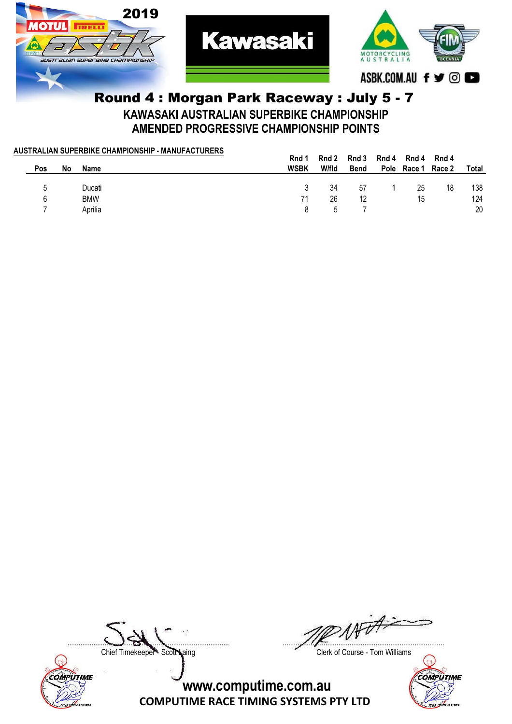

#### Round 4 : Morgan Park Raceway : July 5 - 7 KAWASAKI AUSTRALIAN SUPERBIKE CHAMPIONSHIP AMENDED PROGRESSIVE CHAMPIONSHIP POINTS

|     |    | AUSTRALIAN SUPERBIKE CHAMPIONSHIP - MANUFACTURERS |             |       |             |       |                    |       |       |
|-----|----|---------------------------------------------------|-------------|-------|-------------|-------|--------------------|-------|-------|
|     |    |                                                   | Rnd         | Rnd 2 | Rnd 3       | Rnd 4 | Rnd 4              | Rnd 4 |       |
| Pos | No | <b>Name</b>                                       | <b>WSBK</b> | W/fld | <b>Bend</b> |       | Pole Race 1 Race 2 |       | Total |
|     |    |                                                   |             |       |             |       |                    |       |       |
| 5   |    | Ducati                                            |             | 34    | 57          |       | 25                 | 18    | 138   |
| 6   |    | <b>BMW</b>                                        | 71          | 26    | 12          |       | 15                 |       | 124   |
|     |    | Aprilia                                           | 8           |       |             |       |                    |       | 20    |
|     |    |                                                   |             |       |             |       |                    |       |       |



....................................................................................... .......................................................................................

Chief Timekeeper - Scott Laing Clerk of Course - Tom Williams